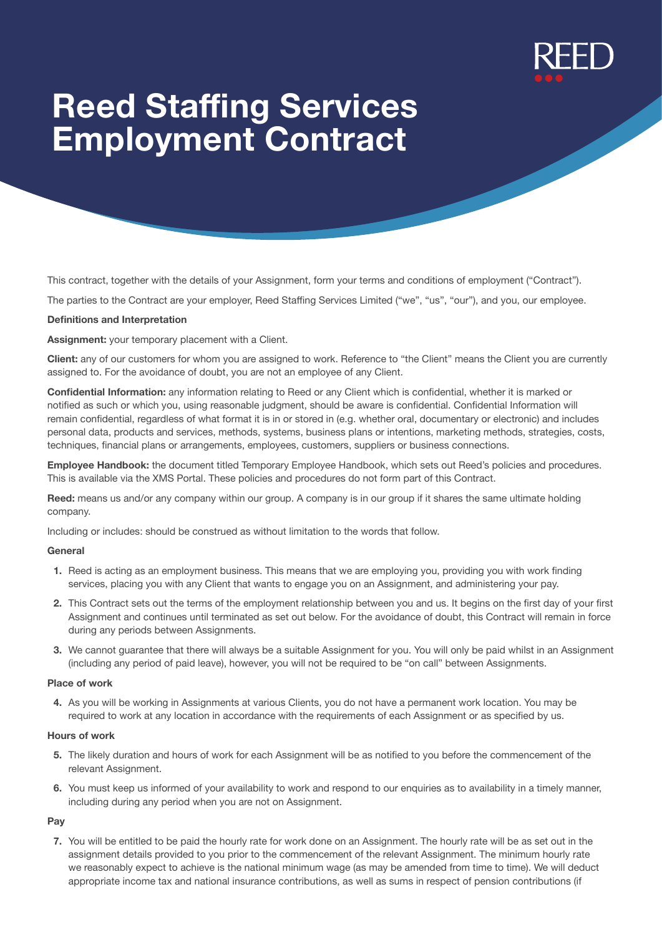

# **Reed Staffing Services Employment Contract**

This contract, together with the details of your Assignment, form your terms and conditions of employment ("Contract").

The parties to the Contract are your employer, Reed Staffing Services Limited ("we", "us", "our"), and you, our employee.

## **Definitions and Interpretation**

**Assignment:** your temporary placement with a Client.

**Client:** any of our customers for whom you are assigned to work. Reference to "the Client" means the Client you are currently assigned to. For the avoidance of doubt, you are not an employee of any Client.

**Confidential Information:** any information relating to Reed or any Client which is confidential, whether it is marked or notified as such or which you, using reasonable judgment, should be aware is confidential. Confidential Information will remain confidential, regardless of what format it is in or stored in (e.g. whether oral, documentary or electronic) and includes personal data, products and services, methods, systems, business plans or intentions, marketing methods, strategies, costs, techniques, financial plans or arrangements, employees, customers, suppliers or business connections.

**Employee Handbook:** the document titled Temporary Employee Handbook, which sets out Reed's policies and procedures. This is available via the XMS Portal. These policies and procedures do not form part of this Contract.

**Reed:** means us and/or any company within our group. A company is in our group if it shares the same ultimate holding company.

Including or includes: should be construed as without limitation to the words that follow.

#### **General**

- **1.** Reed is acting as an employment business. This means that we are employing you, providing you with work finding services, placing you with any Client that wants to engage you on an Assignment, and administering your pay.
- **2.** This Contract sets out the terms of the employment relationship between you and us. It begins on the first day of your first Assignment and continues until terminated as set out below. For the avoidance of doubt, this Contract will remain in force during any periods between Assignments.
- **3.** We cannot guarantee that there will always be a suitable Assignment for you. You will only be paid whilst in an Assignment (including any period of paid leave), however, you will not be required to be "on call" between Assignments.

## **Place of work**

**4.** As you will be working in Assignments at various Clients, you do not have a permanent work location. You may be required to work at any location in accordance with the requirements of each Assignment or as specified by us.

# **Hours of work**

- **5.** The likely duration and hours of work for each Assignment will be as notified to you before the commencement of the relevant Assignment.
- **6.** You must keep us informed of your availability to work and respond to our enquiries as to availability in a timely manner, including during any period when you are not on Assignment.

## **Pay**

**7.** You will be entitled to be paid the hourly rate for work done on an Assignment. The hourly rate will be as set out in the assignment details provided to you prior to the commencement of the relevant Assignment. The minimum hourly rate we reasonably expect to achieve is the national minimum wage (as may be amended from time to time). We will deduct appropriate income tax and national insurance contributions, as well as sums in respect of pension contributions (if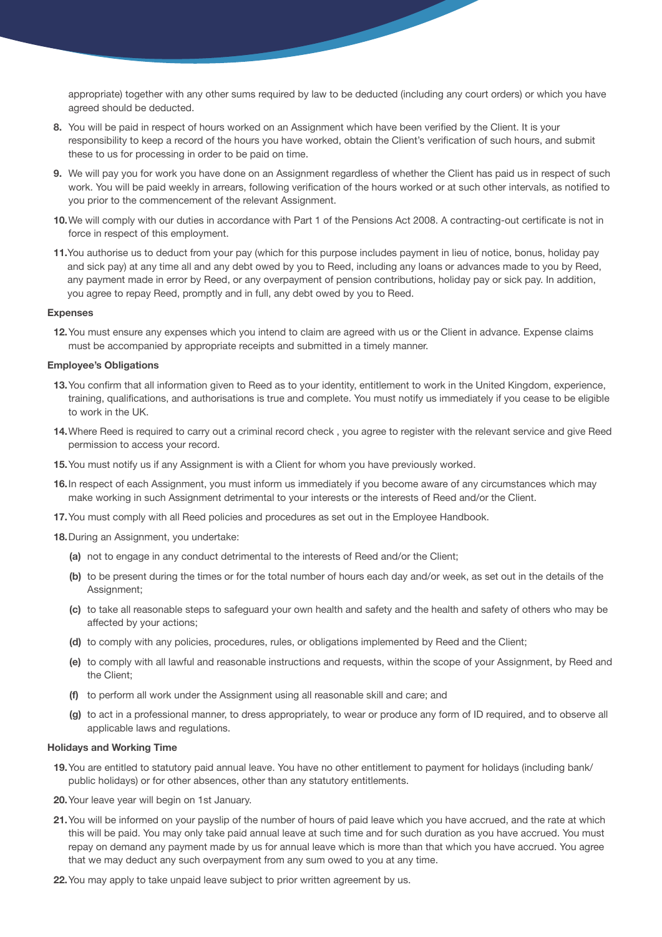appropriate) together with any other sums required by law to be deducted (including any court orders) or which you have agreed should be deducted.

- **8.** You will be paid in respect of hours worked on an Assignment which have been verified by the Client. It is your responsibility to keep a record of the hours you have worked, obtain the Client's verification of such hours, and submit these to us for processing in order to be paid on time.
- **9.** We will pay you for work you have done on an Assignment regardless of whether the Client has paid us in respect of such work. You will be paid weekly in arrears, following verification of the hours worked or at such other intervals, as notified to you prior to the commencement of the relevant Assignment.
- **10.** We will comply with our duties in accordance with Part 1 of the Pensions Act 2008. A contracting-out certificate is not in force in respect of this employment.
- **11.**You authorise us to deduct from your pay (which for this purpose includes payment in lieu of notice, bonus, holiday pay and sick pay) at any time all and any debt owed by you to Reed, including any loans or advances made to you by Reed, any payment made in error by Reed, or any overpayment of pension contributions, holiday pay or sick pay. In addition, you agree to repay Reed, promptly and in full, any debt owed by you to Reed.

## **Expenses**

**12.** You must ensure any expenses which you intend to claim are agreed with us or the Client in advance. Expense claims must be accompanied by appropriate receipts and submitted in a timely manner.

## **Employee's Obligations**

- **13.** You confirm that all information given to Reed as to your identity, entitlement to work in the United Kingdom, experience, training, qualifications, and authorisations is true and complete. You must notify us immediately if you cease to be eligible to work in the UK.
- **14.** Where Reed is required to carry out a criminal record check , you agree to register with the relevant service and give Reed permission to access your record.
- **15.**You must notify us if any Assignment is with a Client for whom you have previously worked.
- **16.** In respect of each Assignment, you must inform us immediately if you become aware of any circumstances which may make working in such Assignment detrimental to your interests or the interests of Reed and/or the Client.
- **17.** You must comply with all Reed policies and procedures as set out in the Employee Handbook.
- **18.**During an Assignment, you undertake:
	- **(a)** not to engage in any conduct detrimental to the interests of Reed and/or the Client;
	- **(b)** to be present during the times or for the total number of hours each day and/or week, as set out in the details of the Assignment;
	- **(c)** to take all reasonable steps to safeguard your own health and safety and the health and safety of others who may be affected by your actions;
	- **(d)** to comply with any policies, procedures, rules, or obligations implemented by Reed and the Client;
	- **(e)** to comply with all lawful and reasonable instructions and requests, within the scope of your Assignment, by Reed and the Client;
	- **(f)** to perform all work under the Assignment using all reasonable skill and care; and
	- **(g)** to act in a professional manner, to dress appropriately, to wear or produce any form of ID required, and to observe all applicable laws and regulations.

# **Holidays and Working Time**

- **19.** You are entitled to statutory paid annual leave. You have no other entitlement to payment for holidays (including bank/ public holidays) or for other absences, other than any statutory entitlements.
- **20.**Your leave year will begin on 1st January.
- **21.** You will be informed on your payslip of the number of hours of paid leave which you have accrued, and the rate at which this will be paid. You may only take paid annual leave at such time and for such duration as you have accrued. You must repay on demand any payment made by us for annual leave which is more than that which you have accrued. You agree that we may deduct any such overpayment from any sum owed to you at any time.
- **22.**You may apply to take unpaid leave subject to prior written agreement by us.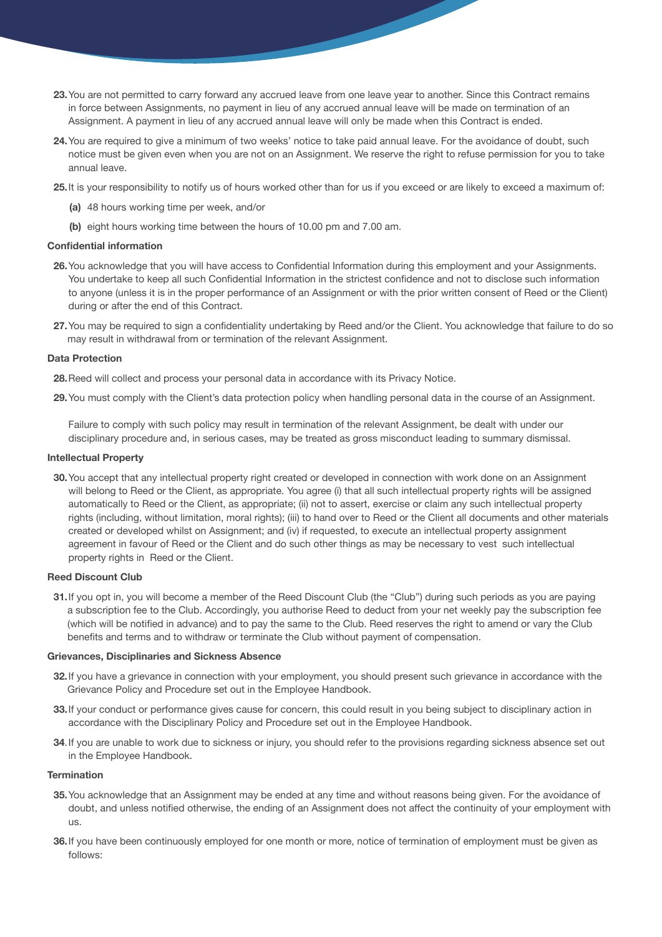- **23.** You are not permitted to carry forward any accrued leave from one leave year to another. Since this Contract remains in force between Assignments, no payment in lieu of any accrued annual leave will be made on termination of an Assignment. A payment in lieu of any accrued annual leave will only be made when this Contract is ended.
- **24.** You are required to give a minimum of two weeks' notice to take paid annual leave. For the avoidance of doubt, such notice must be given even when you are not on an Assignment. We reserve the right to refuse permission for you to take annual leave.
- **25.**It is your responsibility to notify us of hours worked other than for us if you exceed or are likely to exceed a maximum of:
	- **(a)** 48 hours working time per week, and/or
	- **(b)** eight hours working time between the hours of 10.00 pm and 7.00 am.

# **Confidential information**

- **26.** You acknowledge that you will have access to Confidential Information during this employment and your Assignments. You undertake to keep all such Confidential Information in the strictest confidence and not to disclose such information to anyone (unless it is in the proper performance of an Assignment or with the prior written consent of Reed or the Client) during or after the end of this Contract.
- **27.**You may be required to sign a confidentiality undertaking by Reed and/or the Client. You acknowledge that failure to do so may result in withdrawal from or termination of the relevant Assignment.

## **Data Protection**

- **28.**Reed will collect and process your personal data in accordance with its Privacy Notice.
- **29.** You must comply with the Client's data protection policy when handling personal data in the course of an Assignment.

Failure to comply with such policy may result in termination of the relevant Assignment, be dealt with under our disciplinary procedure and, in serious cases, may be treated as gross misconduct leading to summary dismissal.

## **Intellectual Property**

**30.**You accept that any intellectual property right created or developed in connection with work done on an Assignment will belong to Reed or the Client, as appropriate. You agree (i) that all such intellectual property rights will be assigned automatically to Reed or the Client, as appropriate; (ii) not to assert, exercise or claim any such intellectual property rights (including, without limitation, moral rights); (iii) to hand over to Reed or the Client all documents and other materials created or developed whilst on Assignment; and (iv) if requested, to execute an intellectual property assignment agreement in favour of Reed or the Client and do such other things as may be necessary to vest such intellectual property rights in Reed or the Client.

## **Reed Discount Club**

**31.**If you opt in, you will become a member of the Reed Discount Club (the "Club") during such periods as you are paying a subscription fee to the Club. Accordingly, you authorise Reed to deduct from your net weekly pay the subscription fee (which will be notified in advance) and to pay the same to the Club. Reed reserves the right to amend or vary the Club benefits and terms and to withdraw or terminate the Club without payment of compensation.

#### **Grievances, Disciplinaries and Sickness Absence**

- **32.**If you have a grievance in connection with your employment, you should present such grievance in accordance with the Grievance Policy and Procedure set out in the Employee Handbook.
- **33.** If your conduct or performance gives cause for concern, this could result in you being subject to disciplinary action in accordance with the Disciplinary Policy and Procedure set out in the Employee Handbook.
- **34**.If you are unable to work due to sickness or injury, you should refer to the provisions regarding sickness absence set out in the Employee Handbook.

# **Termination**

- **35.** You acknowledge that an Assignment may be ended at any time and without reasons being given. For the avoidance of doubt, and unless notified otherwise, the ending of an Assignment does not affect the continuity of your employment with us.
- **36.** If you have been continuously employed for one month or more, notice of termination of employment must be given as follows: